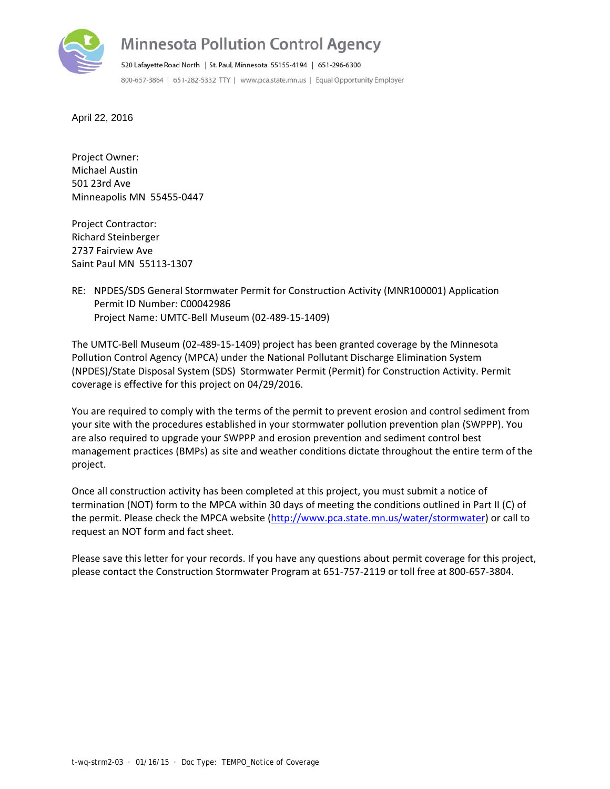

April 22, 2016

Project Owner: Michael Austin 501 23rd Ave Minneapolis MN 55455‐0447

Project Contractor: Richard Steinberger 2737 Fairview Ave Saint Paul MN 55113‐1307

RE: NPDES/SDS General Stormwater Permit for Construction Activity (MNR100001) Application Permit ID Number: C00042986 Project Name: UMTC‐Bell Museum (02‐489‐15‐1409)

The UMTC‐Bell Museum (02‐489‐15‐1409) project has been granted coverage by the Minnesota Pollution Control Agency (MPCA) under the National Pollutant Discharge Elimination System (NPDES)/State Disposal System (SDS) Stormwater Permit (Permit) for Construction Activity. Permit coverage is effective for this project on 04/29/2016.

You are required to comply with the terms of the permit to prevent erosion and control sediment from your site with the procedures established in your stormwater pollution prevention plan (SWPPP). You are also required to upgrade your SWPPP and erosion prevention and sediment control best management practices (BMPs) as site and weather conditions dictate throughout the entire term of the project.

Once all construction activity has been completed at this project, you must submit a notice of termination (NOT) form to the MPCA within 30 days of meeting the conditions outlined in Part II (C) of the permit. Please check the MPCA website (http://www.pca.state.mn.us/water/stormwater) or call to request an NOT form and fact sheet.

Please save this letter for your records. If you have any questions about permit coverage for this project, please contact the Construction Stormwater Program at 651‐757‐2119 or toll free at 800‐657‐3804.